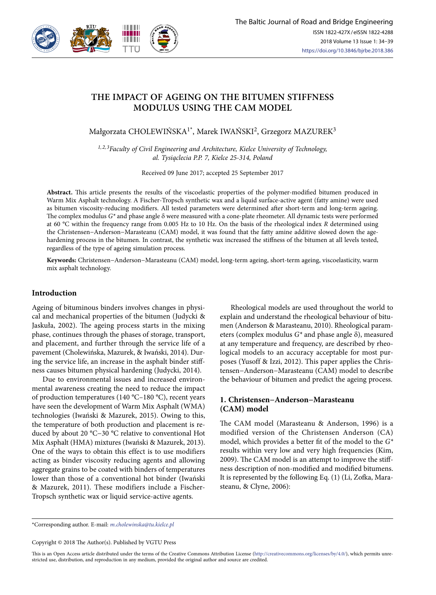

# **THE IMPACT OF AGEING ON THE BITUMEN STIFFNESS MODULUS USING THE CAM MODEL**

Małgorzata CHOLEWIŃSKA<sup>1\*</sup>, Marek IWAŃSKI<sup>2</sup>, Grzegorz MAZUREK<sup>3</sup>

*1, 2, 3Faculty of Civil Engineering and Architecture, Kielce University of Technology, al. Tysiąclecia P.P. 7, Kielce 25-314, Poland* 

Received 09 June 2017; accepted 25 September 2017

**Abstract.** This article presents the results of the viscoelastic properties of the polymer-modified bitumen produced in Warm Mix Asphalt technology. A Fischer-Tropsch synthetic wax and a liquid surface-active agent (fatty amine) were used as bitumen viscosity-reducing modifiers. All tested parameters were determined after short-term and long-term ageing. The complex modulus *G\** and phase angle δ were measured with a cone-plate rheometer. All dynamic tests were performed at 60 °C within the frequency range from 0.005 Hz to 10 Hz. On the basis of the rheological index *R* determined using the Christensen−Anderson−Marasteanu (CAM) model, it was found that the fatty amine additive slowed down the agehardening process in the bitumen. In contrast, the synthetic wax increased the stiffness of the bitumen at all levels tested, regardless of the type of ageing simulation process.

**Keywords:** Christensen−Anderson−Marasteanu (CAM) model, long-term ageing, short-term ageing, viscoelasticity, warm mix asphalt technology.

### **Introduction**

Ageing of bituminous binders involves changes in physical and mechanical properties of the bitumen (Judycki & Jaskuła, 2002). The ageing process starts in the mixing phase, continues through the phases of storage, transport, and placement, and further through the service life of a pavement (Cholewińska, Mazurek, & Iwański, 2014). During the service life, an increase in the asphalt binder stiffness causes bitumen physical hardening (Judycki, 2014).

Due to environmental issues and increased environmental awareness creating the need to reduce the impact of production temperatures (140 °C–180 °C), recent years have seen the development of Warm Mix Asphalt (WMA) technologies (Iwański & Mazurek, 2015). Owing to this, the temperature of both production and placement is reduced by about 20 °C−30 °C relative to conventional Hot Mix Asphalt (HMA) mixtures (Iwański & Mazurek, 2013). One of the ways to obtain this effect is to use modifiers acting as binder viscosity reducing agents and allowing aggregate grains to be coated with binders of temperatures lower than those of a conventional hot binder (Iwański & Mazurek, 2011). These modifiers include a Fischer-Tropsch synthetic wax or liquid service-active agents.

Rheological models are used throughout the world to explain and understand the rheological behaviour of bitumen (Anderson & Marasteanu, 2010). Rheological parameters (complex modulus *G\** and phase angle δ), measured at any temperature and frequency, are described by rheological models to an accuracy acceptable for most purposes (Yusoff & Izzi, 2012). This paper applies the Christensen−Anderson−Marasteanu (CAM) model to describe the behaviour of bitumen and predict the ageing process.

# **1. Christensen−Anderson−Marasteanu (CAM) model**

The CAM model (Marasteanu & Anderson, 1996) is a modified version of the Christensen Anderson (CA) model, which provides a better fit of the model to the *G\** results within very low and very high frequencies (Kim, 2009). The CAM model is an attempt to improve the stiffness description of non-modified and modified bitumens. It is represented by the following Eq. (1) (Li, Zofka, Marasteanu, & Clyne, 2006):

\*Corresponding author. E-mail: *m.cholewinska@tu.kielce.pl*

Copyright © 2018 The Author(s). Published by VGTU Press

This is an Open Access article distributed under the terms of the Creative Commons Attribution License (http://creativecommons.org/licenses/by/4.0/), which permits unrestricted use, distribution, and reproduction in any medium, provided the original author and source are credited.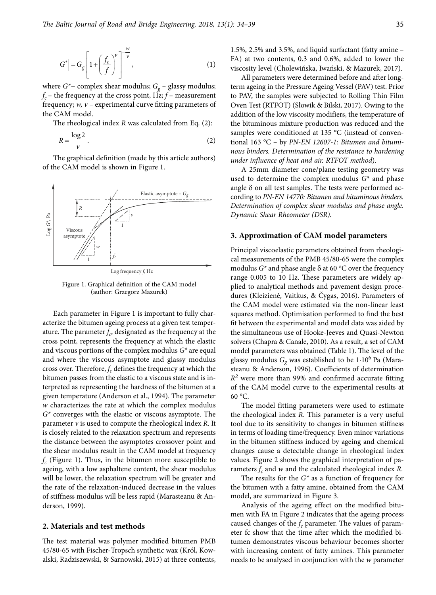$$
\left|G^*\right| = G_g \left[1 + \left(\frac{f_c}{f}\right)^{\nu}\right]^{-\frac{\omega}{\nu}},\tag{1}
$$

where  $G^*$ − complex shear modulus;  $G_g$  – glassy modulus;  $f_c$  – the frequency at the cross point,  $H\rightarrow Z$ ;  $f$  – measurement frequency; *w, v* – experimental curve fitting parameters of the CAM model.

The rheological index *R* was calculated from Eq. (2):

$$
R = \frac{\log 2}{\nu} \,. \tag{2}
$$

The graphical definition (made by this article authors) of the CAM model is shown in Figure 1.



Log frequency *f*, Hz

Figure 1. Graphical definition of the CAM model (author: Grzegorz Mazurek)

Each parameter in Figure 1 is important to fully characterize the bitumen ageing process at a given test temperature. The parameter  $f_c$ , designated as the frequency at the cross point, represents the frequency at which the elastic and viscous portions of the complex modulus *G\** are equal and where the viscous asymptote and glassy modulus cross over. Therefore,  $f_c$  defines the frequency at which the bitumen passes from the elastic to a viscous state and is interpreted as representing the hardness of the bitumen at a given temperature (Anderson et al., 1994). The parameter *w* characterizes the rate at which the complex modulus *G\** converges with the elastic or viscous asymptote. The parameter *v* is used to compute the rheological index *R*. It is closely related to the relaxation spectrum and represents the distance between the asymptotes crossover point and the shear modulus result in the CAM model at frequency  $f_c$  (Figure 1). Thus, in the bitumen more susceptible to ageing, with a low asphaltene content, the shear modulus will be lower, the relaxation spectrum will be greater and the rate of the relaxation-induced decrease in the values of stiffness modulus will be less rapid (Marasteanu & Anderson, 1999).

#### **2. Materials and test methods**

The test material was polymer modified bitumen PMB 45/80-65 with Fischer-Tropsch synthetic wax (Król, Kowalski, Radziszewski, & Sarnowski, 2015) at three contents, 1.5%, 2.5% and 3.5%, and liquid surfactant (fatty amine – FA) at two contents, 0.3 and 0.6%, added to lower the viscosity level (Cholewińska, Iwański, & Mazurek, 2017).

All parameters were determined before and after longterm ageing in the Pressure Ageing Vessel (PAV) test. Prior to PAV, the samples were subjected to Rolling Thin Film Oven Test (RTFOT) (Słowik & Bilski, 2017). Owing to the addition of the low viscosity modifiers, the temperature of the bituminous mixture production was reduced and the samples were conditioned at 135 °C (instead of conventional 163 °C – by *PN-EN 12607-1: Bitumen and bituminous binders. Determination of the resistance to hardening under influence of heat and air. RTFOT method*).

A 25mm diameter cone/plane testing geometry was used to determine the complex modulus *G\** and phase angle  $\delta$  on all test samples. The tests were performed according to *PN-EN 14770: Bitumen and bituminous binders. Determination of complex shear modulus and phase angle. Dynamic Shear Rheometer (DSR).*

#### **3. Approximation of CAM model parameters**

Principal viscoelastic parameters obtained from rheological measurements of the PMB 45/80-65 were the complex modulus  $G^*$  and phase angle  $\delta$  at 60 °C over the frequency range 0.005 to 10 Hz. These parameters are widely applied to analytical methods and pavement design procedures (Kleizienė, Vaitkus, & Čygas, 2016). Parameters of the CAM model were estimated via the non-linear least squares method. Optimisation performed to find the best fit between the experimental and model data was aided by the simultaneous use of Hooke-Jeeves and Quasi-Newton solvers (Chapra & Canale, 2010). As a result, a set of CAM model parameters was obtained (Table 1). The level of the glassy modulus  $G_g$  was established to be  $1·10<sup>6</sup>$  Pa (Marasteanu & Anderson, 1996). Coefficients of determination *R2* were more than 99% and confirmed accurate fitting of the CAM model curve to the experimental results at 60 °C.

The model fitting parameters were used to estimate the rheological index *R*. This parameter is a very useful tool due to its sensitivity to changes in bitumen stiffness in terms of loading time/frequency. Even minor variations in the bitumen stiffness induced by ageing and chemical changes cause a detectable change in rheological index values. Figure 2 shows the graphical interpretation of parameters  $f_c$  and  $w$  and the calculated rheological index  $R$ .

The results for the *G\** as a function of frequency for the bitumen with a fatty amine, obtained from the CAM model, are summarized in Figure 3.

Analysis of the ageing effect on the modified bitumen with FA in Figure 2 indicates that the ageing process caused changes of the  $f_c$  parameter. The values of parameter fc show that the time after which the modified bitumen demonstrates viscous behaviour becomes shorter with increasing content of fatty amines. This parameter needs to be analysed in conjunction with the *w* parameter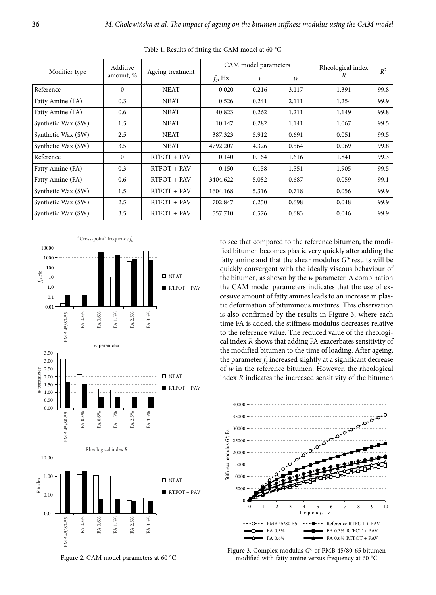| Modifier type      | Additive<br>amount, % | Ageing treatment | CAM model parameters |                    |                  | Rheological index | $R^2$ |
|--------------------|-----------------------|------------------|----------------------|--------------------|------------------|-------------------|-------|
|                    |                       |                  | $f_c$ , Hz           | $\boldsymbol{\nu}$ | $\boldsymbol{w}$ | R                 |       |
| Reference          | $\Omega$              | <b>NEAT</b>      | 0.020                | 0.216              | 3.117            | 1.391             | 99.8  |
| Fatty Amine (FA)   | 0.3                   | <b>NEAT</b>      | 0.526                | 0.241              | 2.111            | 1.254             | 99.9  |
| Fatty Amine (FA)   | 0.6                   | <b>NEAT</b>      | 40.823               | 0.262              | 1.211            | 1.149             | 99.8  |
| Synthetic Wax (SW) | 1.5                   | <b>NEAT</b>      | 10.147               | 0.282              | 1.141            | 1.067             | 99.5  |
| Synthetic Wax (SW) | 2.5                   | <b>NEAT</b>      | 387.323              | 5.912              | 0.691            | 0.051             | 99.5  |
| Synthetic Wax (SW) | 3.5                   | <b>NEAT</b>      | 4792.207             | 4.326              | 0.564            | 0.069             | 99.8  |
| Reference          | $\mathbf{0}$          | RTFOT + PAV      | 0.140                | 0.164              | 1.616            | 1.841             | 99.3  |
| Fatty Amine (FA)   | 0.3                   | RTFOT + PAV      | 0.150                | 0.158              | 1.551            | 1.905             | 99.5  |
| Fatty Amine (FA)   | 0.6                   | RTFOT + PAV      | 3404.622             | 5.082              | 0.687            | 0.059             | 99.1  |
| Synthetic Wax (SW) | 1.5                   | RTFOT + PAV      | 1604.168             | 5.316              | 0.718            | 0.056             | 99.9  |
| Synthetic Wax (SW) | 2.5                   | RTFOT + PAV      | 702.847              | 6.250              | 0.698            | 0.048             | 99.9  |
| Synthetic Wax (SW) | 3.5                   | RTFOT + PAV      | 557.710              | 6.576              | 0.683            | 0.046             | 99.9  |

Table 1. Results of fitting the CAM model at 60 °C



Figure 2. CAM model parameters at 60 °C

to see that compared to the reference bitumen, the modified bitumen becomes plastic very quickly after adding the fatty amine and that the shear modulus *G\** results will be quickly convergent with the ideally viscous behaviour of the bitumen, as shown by the *w* parameter. A combination the CAM model parameters indicates that the use of excessive amount of fatty amines leads to an increase in plastic deformation of bituminous mixtures. This observation is also confirmed by the results in Figure 3, where each time FA is added, the stiffness modulus decreases relative to the reference value. The reduced value of the rheological index *R* shows that adding FA exacerbates sensitivity of the modified bitumen to the time of loading. After ageing, the parameter  $f_c$  increased slightly at a significant decrease of *w* in the reference bitumen. However, the rheological index *R* indicates the increased sensitivity of the bitumen



Figure 3. Complex modulus *G*\* of PMB 45/80-65 bitumen modified with fatty amine versus frequency at 60 °C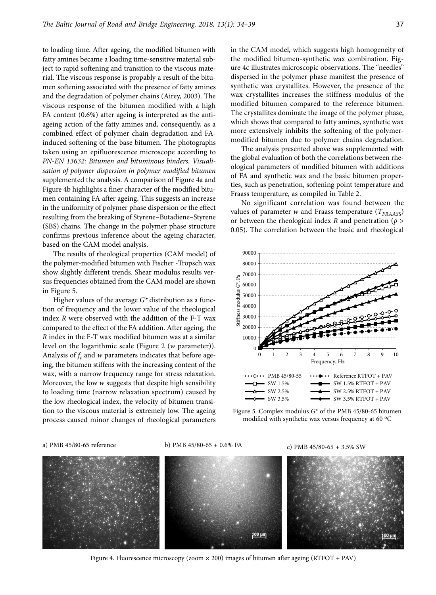to loading time. After ageing, the modified bitumen with fatty amines became a loading time-sensitive material subject to rapid softening and transition to the viscous material. The viscous response is propably a result of the bitumen softening associated with the presence of fatty amines and the degradation of polymer chains (Airey, 2003). The viscous response of the bitumen modified with a high FA content (0.6%) after ageing is interpreted as the antiageing action of the fatty amines and, consequently, as a combined effect of polymer chain degradation and FAinduced softening of the base bitumen. The photographs taken using an epifluorescence microscope according to *PN-EN 13632: Bitumen and bituminous binders. Visualisation of polymer dispersion in polymer modified bitumen*  supplemented the analysis. A comparison of Figure 4a and Figure 4b highlights a finer character of the modified bitumen containing FA after ageing. This suggests an increase in the uniformity of polymer phase dispersion or the effect resulting from the breaking of Styrene–Butadiene–Styrene (SBS) chains. The change in the polymer phase structure confirms previous inference about the ageing character, based on the CAM model analysis.

The results of rheological properties (CAM model) of the polymer-modified bitumen with Fischer -Tropsch wax show slightly different trends. Shear modulus results versus frequencies obtained from the CAM model are shown in Figure 5.

Higher values of the average *G\** distribution as a function of frequency and the lower value of the rheological index *R* were observed with the addition of the F-T wax compared to the effect of the FA addition. After ageing, the *R* index in the F-T wax modified bitumen was at a similar level on the logarithmic scale (Figure 2 (*w* parameter)). Analysis of  $f_c$  and  $w$  parameters indicates that before ageing, the bitumen stiffens with the increasing content of the wax, with a narrow frequency range for stress relaxation. Moreover, the low *w* suggests that despite high sensibility to loading time (narrow relaxation spectrum) caused by the low rheological index, the velocity of bitumen transition to the viscous material is extremely low. The ageing process caused minor changes of rheological parameters in the CAM model, which suggests high homogeneity of the modified bitumen-synthetic wax combination. Figure 4c illustrates microscopic observations. The "needles" dispersed in the polymer phase manifest the presence of synthetic wax crystallites. However, the presence of the wax crystallites increases the stiffness modulus of the modified bitumen compared to the reference bitumen. The crystallites dominate the image of the polymer phase, which shows that compared to fatty amines, synthetic wax more extensively inhibits the softening of the polymermodified bitumen due to polymer chains degradation.

The analysis presented above was supplemented with the global evaluation of both the correlations between rheological parameters of modified bitumen with additions of FA and synthetic wax and the basic bitumen properties, such as penetration, softening point temperature and Fraass temperature, as compiled in Table 2.

No significant correlation was found between the values of parameter *w* and Fraass temperature ( $T_{FRAAGS}$ ) or between the rheological index *R* and penetration (*p* > 0.05). The correlation between the basic and rheological



Figure 5. Complex modulus *G\** of the PMB 45/80-65 bitumen modified with synthetic wax versus frequency at 60  $^{\circ}$ C

a) PMB 45/80-65 reference b) PMB 45/80-65 + 0.6% FA c) PMB 45/80-65 + 3.5% SW



Figure 4. Fluorescence microscopy (zoom  $\times$  200) images of bitumen after ageing (RTFOT + PAV)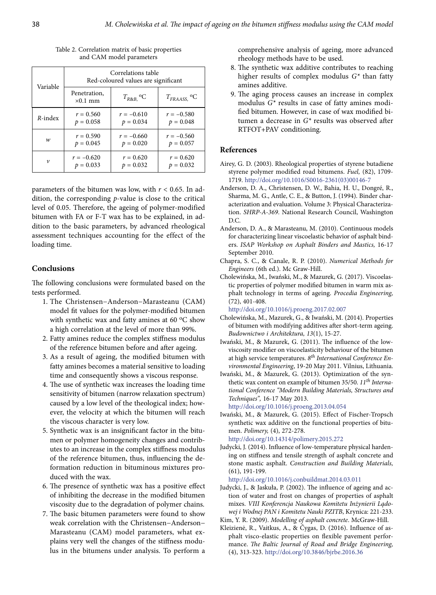| Variable           | Correlations table<br>Red-coloured values are significant |                            |                             |  |  |  |
|--------------------|-----------------------------------------------------------|----------------------------|-----------------------------|--|--|--|
|                    | Penetration,<br>$\times 0.1$ mm                           | $T_{R\&B,}$ <sup>o</sup> C | $T_{FRAASS}$ <sup>o</sup> C |  |  |  |
| $R$ -index         | $r = 0.560$                                               | $r = -0.610$               | $r = -0.580$                |  |  |  |
|                    | $p = 0.058$                                               | $p = 0.034$                | $p = 0.048$                 |  |  |  |
| w                  | $r = 0.590$                                               | $r = -0.660$               | $r = -0.560$                |  |  |  |
|                    | $p = 0.045$                                               | $p = 0.020$                | $p = 0.057$                 |  |  |  |
| $\boldsymbol{\nu}$ | $r = -0.620$                                              | $r = 0.620$                | $r = 0.620$                 |  |  |  |
|                    | $p = 0.033$                                               | $p = 0.032$                | $p = 0.032$                 |  |  |  |

Table 2. Correlation matrix of basic properties and CAM model parameters

parameters of the bitumen was low, with  $r < 0.65$ . In addition, the corresponding *p*-value is close to the critical level of 0.05. Therefore, the ageing of polymer-modified bitumen with FA or F-T wax has to be explained, in addition to the basic parameters, by advanced rheological assessment techniques accounting for the effect of the loading time.

#### **Conclusions**

The following conclusions were formulated based on the tests performed.

- 1. The Christensen−Anderson−Marasteanu (CAM) model fit values for the polymer-modified bitumen with synthetic wax and fatty amines at 60 °C show a high correlation at the level of more than 99%.
- 2. Fatty amines reduce the complex stiffness modulus of the reference bitumen before and after ageing.
- 3. As a result of ageing, the modified bitumen with fatty amines becomes a material sensitive to loading time and consequently shows a viscous response.
- 4. The use of synthetic wax increases the loading time sensitivity of bitumen (narrow relaxation spectrum) caused by a low level of the theological index; however, the velocity at which the bitumen will reach the viscous character is very low.
- 5. Synthetic wax is an insignificant factor in the bitumen or polymer homogeneity changes and contributes to an increase in the complex stiffness modulus of the reference bitumen, thus, influencing the deformation reduction in bituminous mixtures produced with the wax.
- 6. The presence of synthetic wax has a positive effect of inhibiting the decrease in the modified bitumen viscosity due to the degradation of polymer chains.
- 7. The basic bitumen parameters were found to show weak correlation with the Christensen−Anderson− Marasteanu (CAM) model parameters, what explains very well the changes of the stiffness modulus in the bitumens under analysis. To perform a

comprehensive analysis of ageing, more advanced rheology methods have to be used.

- 8. The synthetic wax additive contributes to reaching higher results of complex modulus *G\** than fatty amines additive.
- 9. The aging process causes an increase in complex modulus *G\** results in case of fatty amines modified bitumen. However, in case of wax modified bitumen a decrease in *G\** results was observed after RTFOT+PAV conditioning.

# **References**

- Airey, G. D. (2003). Rheological properties of styrene butadiene styrene polymer modified road bitumens. *Fuel,* (82), 1709- 1719. http://doi.org/10.1016/S0016-2361(03)00146-7
- Anderson, D. A., Christensen, D. W., Bahia, H. U., Dongré, R., Sharma, M. G., Antle, C. E., & Button, J. (1994). Binder characterization and evaluation. Volume 3: Physical Characterization. *SHRP-A-369*. National Research Council, Washington  $DC$
- Anderson, D. A., & Marasteanu, M. (2010). Continuous models for characterizing linear viscoelastic behavior of asphalt binders. *ISAP Workshop on Asphalt Binders and Mastics,* 16-17 September 2010.
- Chapra, S. C., & Canale, R. P. (2010). *Numerical Methods for Engineers* (6th ed.). Mc Graw-Hill.
- Cholewińska, M., Iwański, M., & Mazurek, G. (2017). Viscoelastic properties of polymer modified bitumen in warm mix asphalt technology in terms of ageing. *Procedia Engineering,*  (72), 401-408.

http://doi.org/10.1016/j.proeng.2017.02.007

- Cholewińska, M., Mazurek, G., & Iwański, M. (2014). Properties of bitumen with modifying additives after short-term ageing. *Budownictwo i Architektura, 13*(1), 15-27.
- Iwański, M., & Mazurek, G. (2011). The influence of the lowviscosity modifier on viscoelasticity behaviour of the bitumen at high service temperatures. *8th International Conference Environmental Engineering*, 19-20 May 2011. Vilnius, Lithuania.
- Iwański, M., & Mazurek, G. (2013). Optimization of the synthetic wax content on example of bitumen 35/50. *11th International Conference "Modern Building Materials, Structures and Techniques",* 16-17 May 2013.

http://doi.org/10.1016/j.proeng.2013.04.054

- Iwański, M., & Mazurek, G. (2015). Effect of Fischer-Tropsch synthetic wax additive on the functional properties of bitumen. *Polimery,* (4), 272-278. http://doi.org/10.14314/polimery.2015.272
- Judycki, J. (2014). Influence of low-temperature physical hardening on stiffness and tensile strength of asphalt concrete and stone mastic asphalt. *Construction and Building Materials,*  (61), 191-199.

http://doi.org/10.1016/j.conbuildmat.2014.03.011

Judycki, J., & Jaskuła, P. (2002). The influence of ageing and action of water and frost on changes of properties of asphalt mixes. *VIII Konferencja Naukowa Komitetu Inżynierii Lądowej i Wodnej PAN i Komitetu Nauki PZITB*, Krynica: 221-233.

Kim, Y. R. (2009). *Modelling of asphalt concrete*. McGraw-Hill.

Kleizienė, R., Vaitkus, A., & Čygas, D. (2016). Influence of asphalt visco-elastic properties on flexible pavement performance. *The Baltic Journal of Road and Bridge Engineering,*  (4), 313-323. http://doi.org/10.3846/bjrbe.2016.36